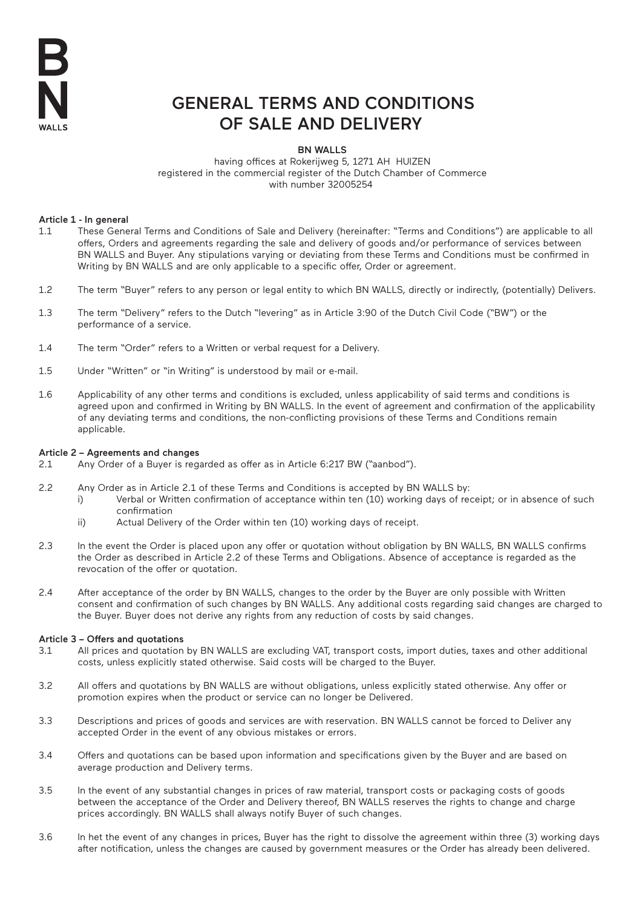

# GENERAL TERMS AND CONDITIONS OF SALE AND DELIVERY

BN WALLS

 having offices at Rokerijweg 5, 1271 AH HUIZEN registered in the commercial register of the Dutch Chamber of Commerce with number 32005254

# Article 1 - In general

- 1.1 These General Terms and Conditions of Sale and Delivery (hereinafter: "Terms and Conditions") are applicable to all offers, Orders and agreements regarding the sale and delivery of goods and/or performance of services between BN WALLS and Buyer. Any stipulations varying or deviating from these Terms and Conditions must be confirmed in Writing by BN WALLS and are only applicable to a specific offer, Order or agreement.
- 1.2 The term "Buyer" refers to any person or legal entity to which BN WALLS, directly or indirectly, (potentially) Delivers.
- 1.3 The term "Delivery" refers to the Dutch "levering" as in Article 3:90 of the Dutch Civil Code ("BW") or the performance of a service.
- 1.4 The term "Order" refers to a Written or verbal request for a Delivery.
- 1.5 Under "Written" or "in Writing" is understood by mail or e-mail.
- 1.6 Applicability of any other terms and conditions is excluded, unless applicability of said terms and conditions is agreed upon and confirmed in Writing by BN WALLS. In the event of agreement and confirmation of the applicability of any deviating terms and conditions, the non-conflicting provisions of these Terms and Conditions remain applicable.

# Article 2 – Agreements and changes

- 2.1 Any Order of a Buyer is regarded as offer as in Article 6:217 BW ("aanbod").
- 2.2 Any Order as in Article 2.1 of these Terms and Conditions is accepted by BN WALLS by:
	- i) Verbal or Written confirmation of acceptance within ten (10) working days of receipt; or in absence of such confirmation
		- ii) Actual Delivery of the Order within ten (10) working days of receipt.
- 2.3 In the event the Order is placed upon any offer or quotation without obligation by BN WALLS, BN WALLS confirms the Order as described in Article 2.2 of these Terms and Obligations. Absence of acceptance is regarded as the revocation of the offer or quotation.
- 2.4 After acceptance of the order by BN WALLS, changes to the order by the Buyer are only possible with Written consent and confirmation of such changes by BN WALLS. Any additional costs regarding said changes are charged to the Buyer. Buyer does not derive any rights from any reduction of costs by said changes.

# Article 3 – Offers and quotations

- 3.1 All prices and quotation by BN WALLS are excluding VAT, transport costs, import duties, taxes and other additional costs, unless explicitly stated otherwise. Said costs will be charged to the Buyer.
- 3.2 All offers and quotations by BN WALLS are without obligations, unless explicitly stated otherwise. Any offer or promotion expires when the product or service can no longer be Delivered.
- 3.3 Descriptions and prices of goods and services are with reservation. BN WALLS cannot be forced to Deliver any accepted Order in the event of any obvious mistakes or errors.
- 3.4 Offers and quotations can be based upon information and specifications given by the Buyer and are based on average production and Delivery terms.
- 3.5 In the event of any substantial changes in prices of raw material, transport costs or packaging costs of goods between the acceptance of the Order and Delivery thereof, BN WALLS reserves the rights to change and charge prices accordingly. BN WALLS shall always notify Buyer of such changes.
- 3.6 In het the event of any changes in prices, Buyer has the right to dissolve the agreement within three (3) working days after notification, unless the changes are caused by government measures or the Order has already been delivered.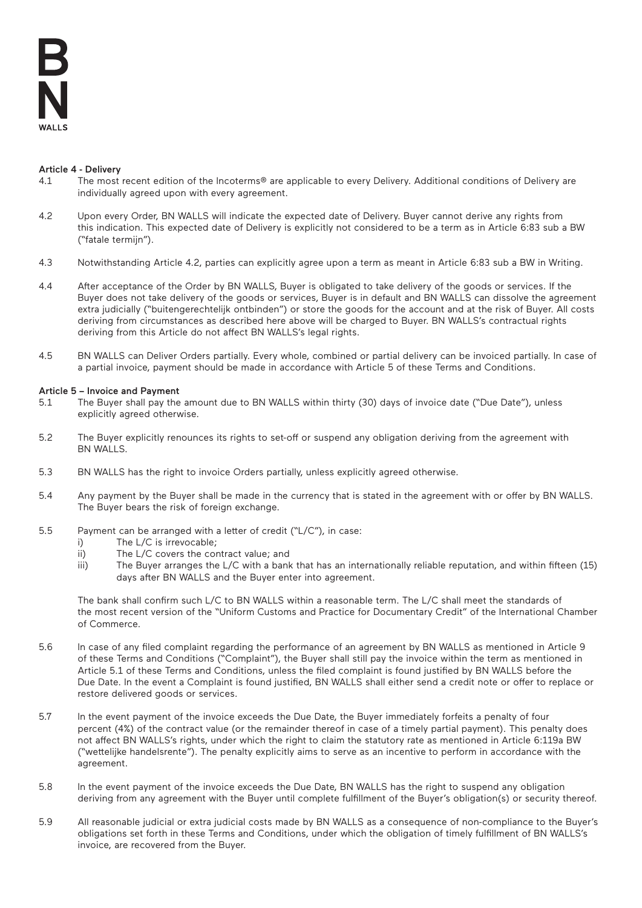# Article 4 - Delivery

- 4.1 The most recent edition of the Incoterms® are applicable to every Delivery. Additional conditions of Delivery are individually agreed upon with every agreement.
- 4.2 Upon every Order, BN WALLS will indicate the expected date of Delivery. Buyer cannot derive any rights from this indication. This expected date of Delivery is explicitly not considered to be a term as in Article 6:83 sub a BW ("fatale termijn").
- 4.3 Notwithstanding Article 4.2, parties can explicitly agree upon a term as meant in Article 6:83 sub a BW in Writing.
- 4.4 After acceptance of the Order by BN WALLS, Buyer is obligated to take delivery of the goods or services. If the Buyer does not take delivery of the goods or services, Buyer is in default and BN WALLS can dissolve the agreement extra judicially ("buitengerechtelijk ontbinden") or store the goods for the account and at the risk of Buyer. All costs deriving from circumstances as described here above will be charged to Buyer. BN WALLS's contractual rights deriving from this Article do not affect BN WALLS's legal rights.
- 4.5 BN WALLS can Deliver Orders partially. Every whole, combined or partial delivery can be invoiced partially. In case of a partial invoice, payment should be made in accordance with Article 5 of these Terms and Conditions.

# Article 5 – Invoice and Payment

- 5.1 The Buyer shall pay the amount due to BN WALLS within thirty (30) days of invoice date ("Due Date"), unless explicitly agreed otherwise.
- 5.2 The Buyer explicitly renounces its rights to set-off or suspend any obligation deriving from the agreement with BN WALLS.
- 5.3 BN WALLS has the right to invoice Orders partially, unless explicitly agreed otherwise.
- 5.4 Any payment by the Buyer shall be made in the currency that is stated in the agreement with or offer by BN WALLS. The Buyer bears the risk of foreign exchange.
- 5.5 Payment can be arranged with a letter of credit ("L/C"), in case:
	- i) The L/C is irrevocable;
	- ii) The L/C covers the contract value; and
	- iii) The Buyer arranges the L/C with a bank that has an internationally reliable reputation, and within fifteen (15) days after BN WALLS and the Buyer enter into agreement.

The bank shall confirm such L/C to BN WALLS within a reasonable term. The L/C shall meet the standards of the most recent version of the "Uniform Customs and Practice for Documentary Credit" of the International Chamber of Commerce.

- 5.6 In case of any filed complaint regarding the performance of an agreement by BN WALLS as mentioned in Article 9 of these Terms and Conditions ("Complaint"), the Buyer shall still pay the invoice within the term as mentioned in Article 5.1 of these Terms and Conditions, unless the filed complaint is found justified by BN WALLS before the Due Date. In the event a Complaint is found justified, BN WALLS shall either send a credit note or offer to replace or restore delivered goods or services.
- 5.7 In the event payment of the invoice exceeds the Due Date, the Buyer immediately forfeits a penalty of four percent (4%) of the contract value (or the remainder thereof in case of a timely partial payment). This penalty does not affect BN WALLS's rights, under which the right to claim the statutory rate as mentioned in Article 6:119a BW ("wettelijke handelsrente"). The penalty explicitly aims to serve as an incentive to perform in accordance with the agreement.
- 5.8 In the event payment of the invoice exceeds the Due Date, BN WALLS has the right to suspend any obligation deriving from any agreement with the Buyer until complete fulfillment of the Buyer's obligation(s) or security thereof.
- 5.9 All reasonable judicial or extra judicial costs made by BN WALLS as a consequence of non-compliance to the Buyer's obligations set forth in these Terms and Conditions, under which the obligation of timely fulfillment of BN WALLS's invoice, are recovered from the Buyer.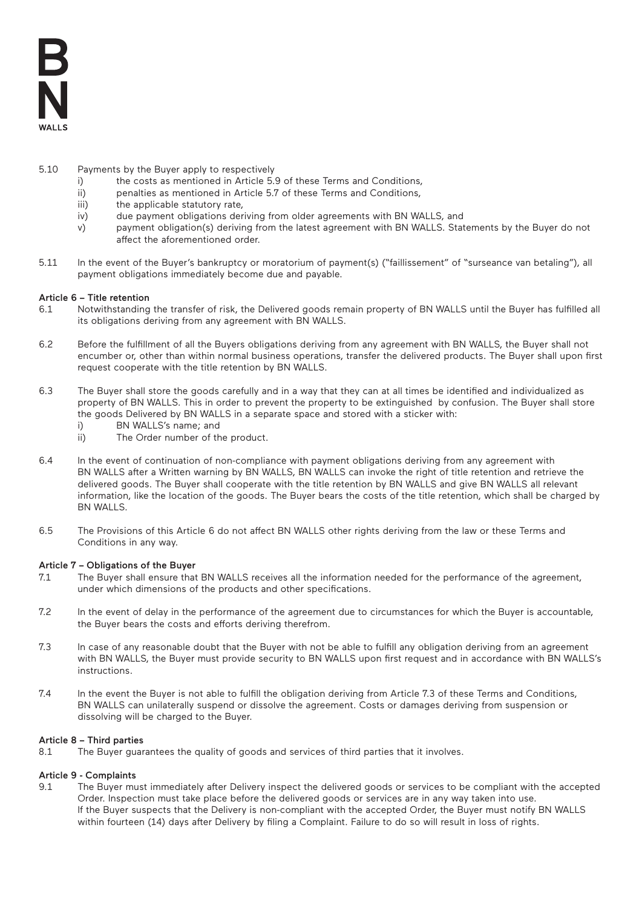- 5.10 Payments by the Buyer apply to respectively
	- i) the costs as mentioned in Article 5.9 of these Terms and Conditions,
	- ii) penalties as mentioned in Article 5.7 of these Terms and Conditions,
	- iii) the applicable statutory rate,
	- iv) due payment obligations deriving from older agreements with BN WALLS, and
	- v) payment obligation(s) deriving from the latest agreement with BN WALLS. Statements by the Buyer do not affect the aforementioned order.
- 5.11 In the event of the Buyer's bankruptcy or moratorium of payment(s) ("faillissement" of "surseance van betaling"), all payment obligations immediately become due and payable.

# Article 6 – Title retention

- 6.1 Notwithstanding the transfer of risk, the Delivered goods remain property of BN WALLS until the Buyer has fulfilled all its obligations deriving from any agreement with BN WALLS.
- 6.2 Before the fulfillment of all the Buyers obligations deriving from any agreement with BN WALLS, the Buyer shall not encumber or, other than within normal business operations, transfer the delivered products. The Buyer shall upon first request cooperate with the title retention by BN WALLS.
- 6.3 The Buyer shall store the goods carefully and in a way that they can at all times be identified and individualized as property of BN WALLS. This in order to prevent the property to be extinguished by confusion. The Buyer shall store the goods Delivered by BN WALLS in a separate space and stored with a sticker with:
	- i) BN WALLS's name; and
	- ii) The Order number of the product.
- 6.4 In the event of continuation of non-compliance with payment obligations deriving from any agreement with BN WALLS after a Written warning by BN WALLS, BN WALLS can invoke the right of title retention and retrieve the delivered goods. The Buyer shall cooperate with the title retention by BN WALLS and give BN WALLS all relevant information, like the location of the goods. The Buyer bears the costs of the title retention, which shall be charged by BN WALLS.
- 6.5 The Provisions of this Article 6 do not affect BN WALLS other rights deriving from the law or these Terms and Conditions in any way.

# Article 7 – Obligations of the Buyer

- 7.1 The Buyer shall ensure that BN WALLS receives all the information needed for the performance of the agreement, under which dimensions of the products and other specifications.
- 7.2 In the event of delay in the performance of the agreement due to circumstances for which the Buyer is accountable, the Buyer bears the costs and efforts deriving therefrom.
- 7.3 In case of any reasonable doubt that the Buyer with not be able to fulfill any obligation deriving from an agreement with BN WALLS, the Buyer must provide security to BN WALLS upon first request and in accordance with BN WALLS's instructions.
- 7.4 In the event the Buyer is not able to fulfill the obligation deriving from Article 7.3 of these Terms and Conditions, BN WALLS can unilaterally suspend or dissolve the agreement. Costs or damages deriving from suspension or dissolving will be charged to the Buyer.

# Article 8 – Third parties

8.1 The Buyer guarantees the quality of goods and services of third parties that it involves.

# Article 9 - Complaints

9.1 The Buyer must immediately after Delivery inspect the delivered goods or services to be compliant with the accepted Order. Inspection must take place before the delivered goods or services are in any way taken into use. If the Buyer suspects that the Delivery is non-compliant with the accepted Order, the Buyer must notify BN WALLS within fourteen (14) days after Delivery by filing a Complaint. Failure to do so will result in loss of rights.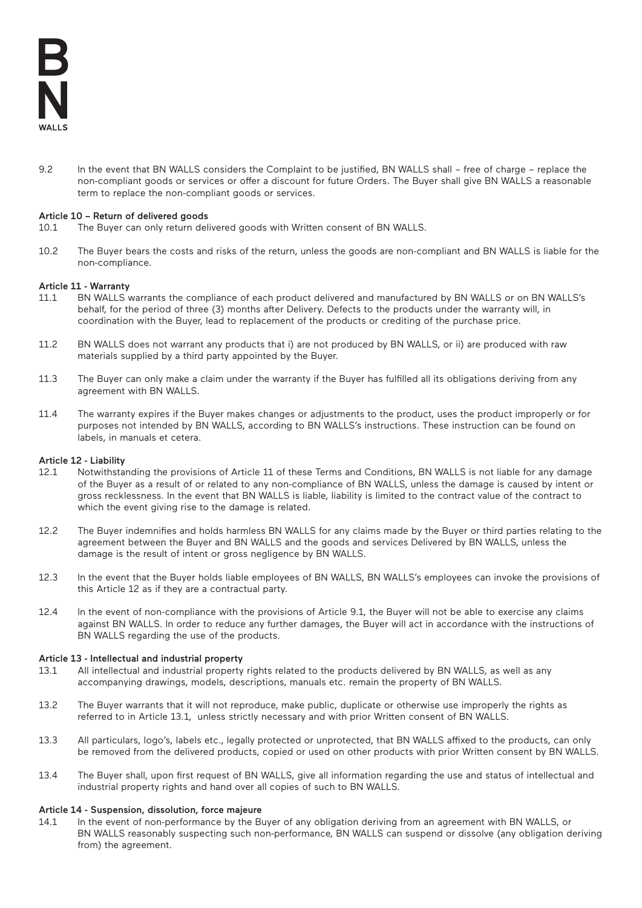9.2 In the event that BN WALLS considers the Complaint to be justified, BN WALLS shall – free of charge – replace the non-compliant goods or services or offer a discount for future Orders. The Buyer shall give BN WALLS a reasonable term to replace the non-compliant goods or services.

# Article 10 – Return of delivered goods

- 10.1 The Buyer can only return delivered goods with Written consent of BN WALLS.
- 10.2 The Buyer bears the costs and risks of the return, unless the goods are non-compliant and BN WALLS is liable for the non-compliance.

# Article 11 - Warranty

- 11.1 BN WALLS warrants the compliance of each product delivered and manufactured by BN WALLS or on BN WALLS's behalf, for the period of three (3) months after Delivery. Defects to the products under the warranty will, in coordination with the Buyer, lead to replacement of the products or crediting of the purchase price.
- 11.2 BN WALLS does not warrant any products that i) are not produced by BN WALLS, or ii) are produced with raw materials supplied by a third party appointed by the Buyer.
- 11.3 The Buyer can only make a claim under the warranty if the Buyer has fulfilled all its obligations deriving from any agreement with BN WALLS.
- 11.4 The warranty expires if the Buyer makes changes or adjustments to the product, uses the product improperly or for purposes not intended by BN WALLS, according to BN WALLS's instructions. These instruction can be found on labels, in manuals et cetera.

# Article 12 - Liability

- 12.1 Notwithstanding the provisions of Article 11 of these Terms and Conditions, BN WALLS is not liable for any damage of the Buyer as a result of or related to any non-compliance of BN WALLS, unless the damage is caused by intent or gross recklessness. In the event that BN WALLS is liable, liability is limited to the contract value of the contract to which the event giving rise to the damage is related.
- 12.2 The Buyer indemnifies and holds harmless BN WALLS for any claims made by the Buyer or third parties relating to the agreement between the Buyer and BN WALLS and the goods and services Delivered by BN WALLS, unless the damage is the result of intent or gross negligence by BN WALLS.
- 12.3 In the event that the Buyer holds liable employees of BN WALLS, BN WALLS's employees can invoke the provisions of this Article 12 as if they are a contractual party.
- 12.4 In the event of non-compliance with the provisions of Article 9.1, the Buyer will not be able to exercise any claims against BN WALLS. In order to reduce any further damages, the Buyer will act in accordance with the instructions of BN WALLS regarding the use of the products.

# Article 13 - Intellectual and industrial property

- 13.1 All intellectual and industrial property rights related to the products delivered by BN WALLS, as well as any accompanying drawings, models, descriptions, manuals etc. remain the property of BN WALLS.
- 13.2 The Buyer warrants that it will not reproduce, make public, duplicate or otherwise use improperly the rights as referred to in Article 13.1, unless strictly necessary and with prior Written consent of BN WALLS.
- 13.3 All particulars, logo's, labels etc., legally protected or unprotected, that BN WALLS affixed to the products, can only be removed from the delivered products, copied or used on other products with prior Written consent by BN WALLS.
- 13.4 The Buyer shall, upon first request of BN WALLS, give all information regarding the use and status of intellectual and industrial property rights and hand over all copies of such to BN WALLS.

# Article 14 - Suspension, dissolution, force majeure

14.1 In the event of non-performance by the Buyer of any obligation deriving from an agreement with BN WALLS, or BN WALLS reasonably suspecting such non-performance, BN WALLS can suspend or dissolve (any obligation deriving from) the agreement.